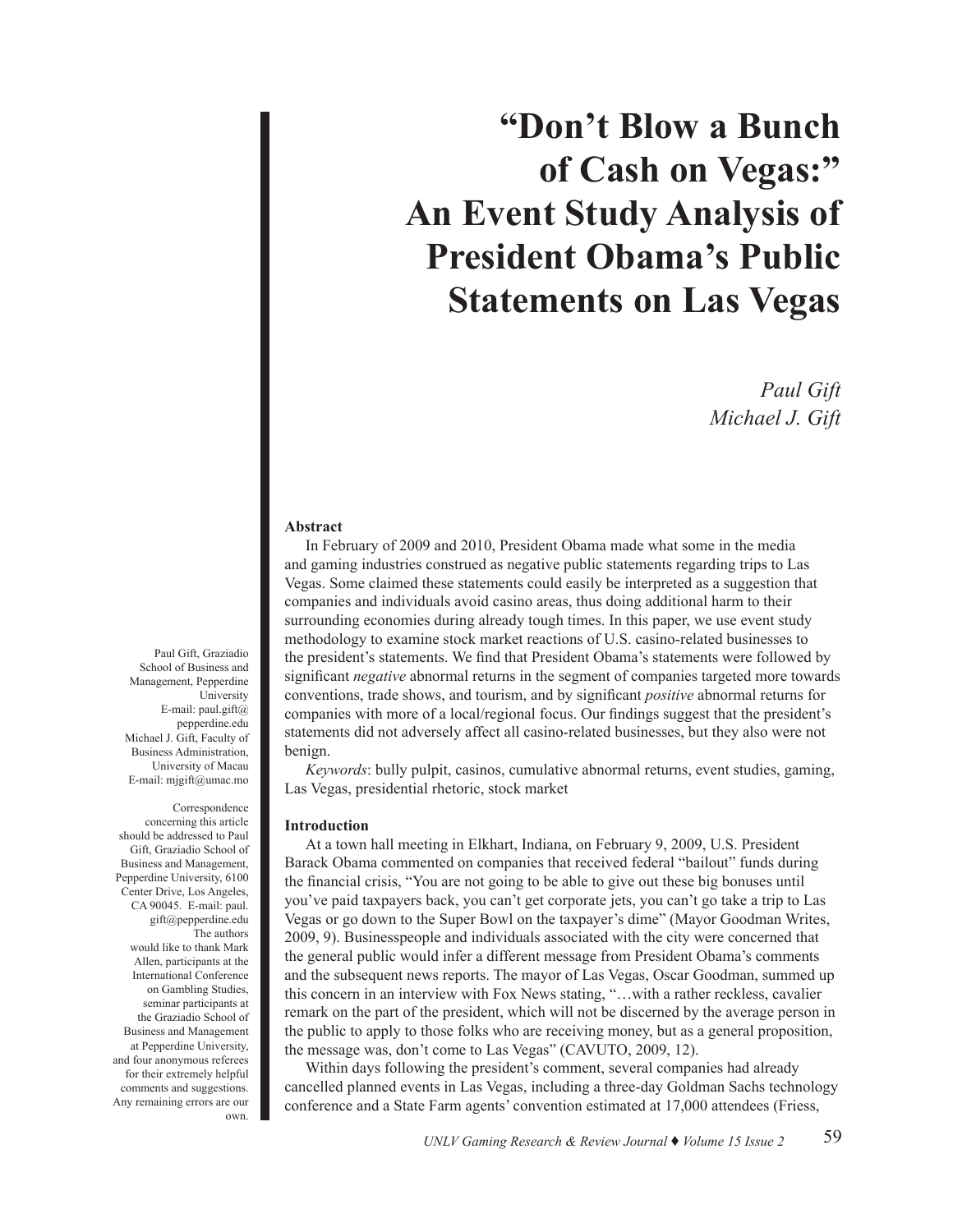# **"Don't Blow a Bunch of Cash on Vegas:" An Event Study Analysis of President Obama's Public Statements on Las Vegas**

*Paul Gift Michael J. Gift*

### **Abstract**

In February of 2009 and 2010, President Obama made what some in the media and gaming industries construed as negative public statements regarding trips to Las Vegas. Some claimed these statements could easily be interpreted as a suggestion that companies and individuals avoid casino areas, thus doing additional harm to their surrounding economies during already tough times. In this paper, we use event study methodology to examine stock market reactions of U.S. casino-related businesses to the president's statements. We find that President Obama's statements were followed by significant *negative* abnormal returns in the segment of companies targeted more towards conventions, trade shows, and tourism, and by significant *positive* abnormal returns for companies with more of a local/regional focus. Our findings suggest that the president's statements did not adversely affect all casino-related businesses, but they also were not benign.

*Keywords*: bully pulpit, casinos, cumulative abnormal returns, event studies, gaming, Las Vegas, presidential rhetoric, stock market

### **Introduction**

At a town hall meeting in Elkhart, Indiana, on February 9, 2009, U.S. President Barack Obama commented on companies that received federal "bailout" funds during the financial crisis, "You are not going to be able to give out these big bonuses until you've paid taxpayers back, you can't get corporate jets, you can't go take a trip to Las Vegas or go down to the Super Bowl on the taxpayer's dime" (Mayor Goodman Writes, 2009, 9). Businesspeople and individuals associated with the city were concerned that the general public would infer a different message from President Obama's comments and the subsequent news reports. The mayor of Las Vegas, Oscar Goodman, summed up this concern in an interview with Fox News stating, "…with a rather reckless, cavalier remark on the part of the president, which will not be discerned by the average person in the public to apply to those folks who are receiving money, but as a general proposition, the message was, don't come to Las Vegas" (CAVUTO, 2009, 12).

Within days following the president's comment, several companies had already cancelled planned events in Las Vegas, including a three-day Goldman Sachs technology conference and a State Farm agents' convention estimated at 17,000 attendees (Friess,

Paul Gift, Graziadio School of Business and Management, Pepperdine University E-mail: paul.gift@ pepperdine.edu Michael J. Gift, Faculty of Business Administration, University of Macau E-mail: mjgift@umac.mo

Correspondence concerning this article should be addressed to Paul Gift, Graziadio School of Business and Management, Pepperdine University, 6100 Center Drive, Los Angeles, CA 90045. E-mail: paul. gift@pepperdine.edu The authors would like to thank Mark Allen, participants at the International Conference on Gambling Studies, seminar participants at the Graziadio School of Business and Management at Pepperdine University, and four anonymous referees for their extremely helpful comments and suggestions. Any remaining errors are our own.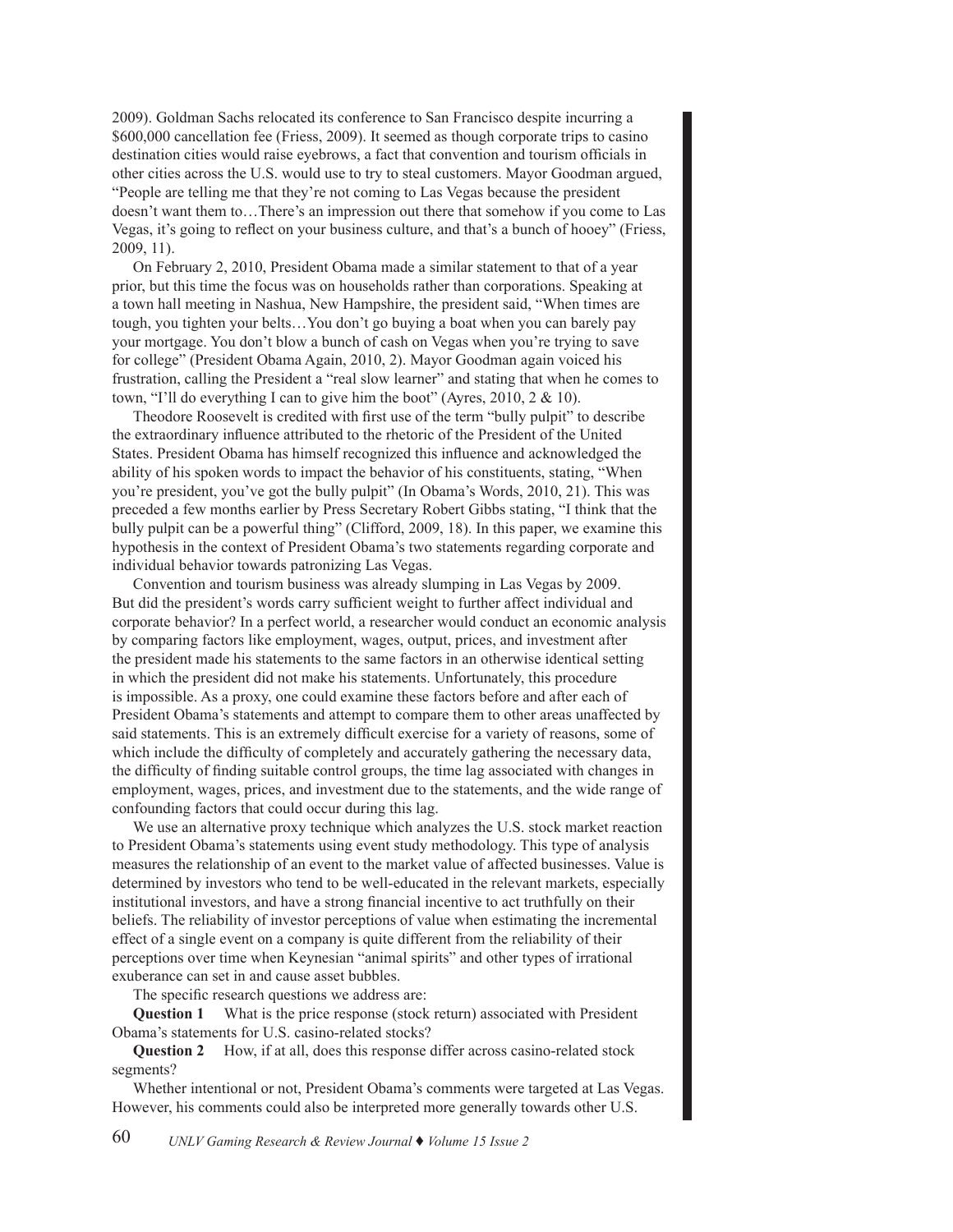2009). Goldman Sachs relocated its conference to San Francisco despite incurring a \$600,000 cancellation fee (Friess, 2009). It seemed as though corporate trips to casino destination cities would raise eyebrows, a fact that convention and tourism officials in other cities across the U.S. would use to try to steal customers. Mayor Goodman argued, "People are telling me that they're not coming to Las Vegas because the president doesn't want them to…There's an impression out there that somehow if you come to Las Vegas, it's going to reflect on your business culture, and that's a bunch of hooey" (Friess, 2009, 11).

On February 2, 2010, President Obama made a similar statement to that of a year prior, but this time the focus was on households rather than corporations. Speaking at a town hall meeting in Nashua, New Hampshire, the president said, "When times are tough, you tighten your belts…You don't go buying a boat when you can barely pay your mortgage. You don't blow a bunch of cash on Vegas when you're trying to save for college" (President Obama Again, 2010, 2). Mayor Goodman again voiced his frustration, calling the President a "real slow learner" and stating that when he comes to town, "I'll do everything I can to give him the boot" (Ayres,  $2010$ ,  $2 \& 10$ ).

Theodore Roosevelt is credited with first use of the term "bully pulpit" to describe the extraordinary influence attributed to the rhetoric of the President of the United States. President Obama has himself recognized this influence and acknowledged the ability of his spoken words to impact the behavior of his constituents, stating, "When you're president, you've got the bully pulpit" (In Obama's Words, 2010, 21). This was preceded a few months earlier by Press Secretary Robert Gibbs stating, "I think that the bully pulpit can be a powerful thing" (Clifford, 2009, 18). In this paper, we examine this hypothesis in the context of President Obama's two statements regarding corporate and individual behavior towards patronizing Las Vegas.

Convention and tourism business was already slumping in Las Vegas by 2009. But did the president's words carry sufficient weight to further affect individual and corporate behavior? In a perfect world, a researcher would conduct an economic analysis by comparing factors like employment, wages, output, prices, and investment after the president made his statements to the same factors in an otherwise identical setting in which the president did not make his statements. Unfortunately, this procedure is impossible. As a proxy, one could examine these factors before and after each of President Obama's statements and attempt to compare them to other areas unaffected by said statements. This is an extremely difficult exercise for a variety of reasons, some of which include the difficulty of completely and accurately gathering the necessary data, the difficulty of finding suitable control groups, the time lag associated with changes in employment, wages, prices, and investment due to the statements, and the wide range of confounding factors that could occur during this lag.

We use an alternative proxy technique which analyzes the U.S. stock market reaction to President Obama's statements using event study methodology. This type of analysis measures the relationship of an event to the market value of affected businesses. Value is determined by investors who tend to be well-educated in the relevant markets, especially institutional investors, and have a strong financial incentive to act truthfully on their beliefs. The reliability of investor perceptions of value when estimating the incremental effect of a single event on a company is quite different from the reliability of their perceptions over time when Keynesian "animal spirits" and other types of irrational exuberance can set in and cause asset bubbles.

The specific research questions we address are:

**Question 1** What is the price response (stock return) associated with President Obama's statements for U.S. casino-related stocks?

**Question 2** How, if at all, does this response differ across casino-related stock segments?

Whether intentional or not, President Obama's comments were targeted at Las Vegas. However, his comments could also be interpreted more generally towards other U.S.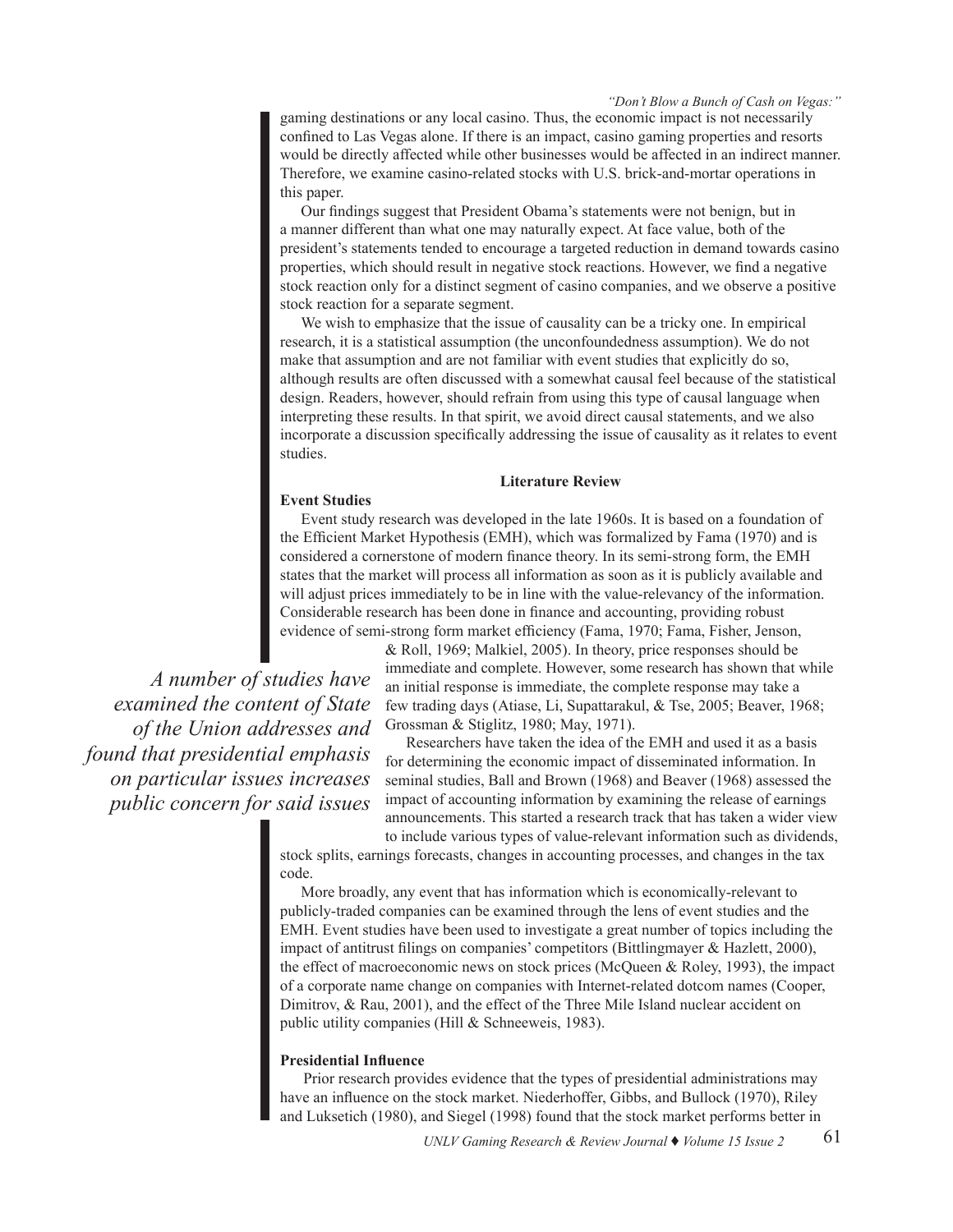gaming destinations or any local casino. Thus, the economic impact is not necessarily confined to Las Vegas alone. If there is an impact, casino gaming properties and resorts would be directly affected while other businesses would be affected in an indirect manner. Therefore, we examine casino-related stocks with U.S. brick-and-mortar operations in this paper.

Our findings suggest that President Obama's statements were not benign, but in a manner different than what one may naturally expect. At face value, both of the president's statements tended to encourage a targeted reduction in demand towards casino properties, which should result in negative stock reactions. However, we find a negative stock reaction only for a distinct segment of casino companies, and we observe a positive stock reaction for a separate segment.

We wish to emphasize that the issue of causality can be a tricky one. In empirical research, it is a statistical assumption (the unconfoundedness assumption). We do not make that assumption and are not familiar with event studies that explicitly do so, although results are often discussed with a somewhat causal feel because of the statistical design. Readers, however, should refrain from using this type of causal language when interpreting these results. In that spirit, we avoid direct causal statements, and we also incorporate a discussion specifically addressing the issue of causality as it relates to event studies.

# **Literature Review**

### **Event Studies**

Event study research was developed in the late 1960s. It is based on a foundation of the Efficient Market Hypothesis (EMH), which was formalized by Fama (1970) and is considered a cornerstone of modern finance theory. In its semi-strong form, the EMH states that the market will process all information as soon as it is publicly available and will adjust prices immediately to be in line with the value-relevancy of the information. Considerable research has been done in finance and accounting, providing robust evidence of semi-strong form market efficiency (Fama, 1970; Fama, Fisher, Jenson,

*A number of studies have examined the content of State of the Union addresses and found that presidential emphasis on particular issues increases public concern for said issues*  & Roll, 1969; Malkiel, 2005). In theory, price responses should be immediate and complete. However, some research has shown that while an initial response is immediate, the complete response may take a few trading days (Atiase, Li, Supattarakul, & Tse, 2005; Beaver, 1968; Grossman & Stiglitz, 1980; May, 1971).

Researchers have taken the idea of the EMH and used it as a basis for determining the economic impact of disseminated information. In seminal studies, Ball and Brown (1968) and Beaver (1968) assessed the impact of accounting information by examining the release of earnings announcements. This started a research track that has taken a wider view

to include various types of value-relevant information such as dividends, stock splits, earnings forecasts, changes in accounting processes, and changes in the tax code.

More broadly, any event that has information which is economically-relevant to publicly-traded companies can be examined through the lens of event studies and the EMH. Event studies have been used to investigate a great number of topics including the impact of antitrust filings on companies' competitors (Bittlingmayer & Hazlett, 2000), the effect of macroeconomic news on stock prices (McQueen & Roley, 1993), the impact of a corporate name change on companies with Internet-related dotcom names (Cooper, Dimitrov, & Rau, 2001), and the effect of the Three Mile Island nuclear accident on public utility companies (Hill & Schneeweis, 1983).

# **Presidential Influence**

Prior research provides evidence that the types of presidential administrations may have an influence on the stock market. Niederhoffer, Gibbs, and Bullock (1970), Riley and Luksetich (1980), and Siegel (1998) found that the stock market performs better in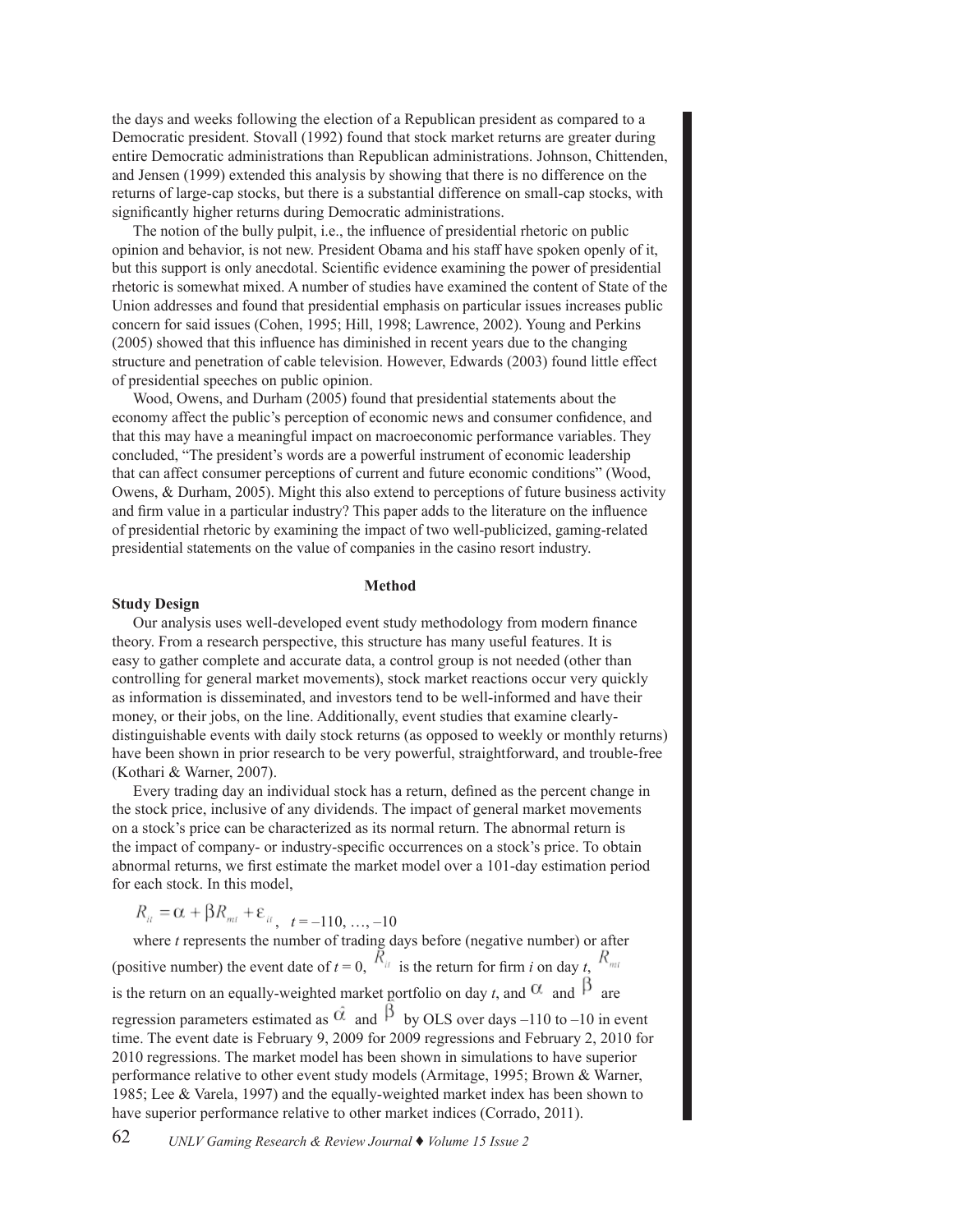the days and weeks following the election of a Republican president as compared to a Democratic president. Stovall (1992) found that stock market returns are greater during entire Democratic administrations than Republican administrations. Johnson, Chittenden, and Jensen (1999) extended this analysis by showing that there is no difference on the returns of large-cap stocks, but there is a substantial difference on small-cap stocks, with significantly higher returns during Democratic administrations.

The notion of the bully pulpit, i.e., the influence of presidential rhetoric on public opinion and behavior, is not new. President Obama and his staff have spoken openly of it, but this support is only anecdotal. Scientific evidence examining the power of presidential rhetoric is somewhat mixed. A number of studies have examined the content of State of the Union addresses and found that presidential emphasis on particular issues increases public concern for said issues (Cohen, 1995; Hill, 1998; Lawrence, 2002). Young and Perkins (2005) showed that this influence has diminished in recent years due to the changing structure and penetration of cable television. However, Edwards (2003) found little effect of presidential speeches on public opinion.

Wood, Owens, and Durham (2005) found that presidential statements about the economy affect the public's perception of economic news and consumer confidence, and that this may have a meaningful impact on macroeconomic performance variables. They concluded, "The president's words are a powerful instrument of economic leadership that can affect consumer perceptions of current and future economic conditions" (Wood, Owens, & Durham, 2005). Might this also extend to perceptions of future business activity and firm value in a particular industry? This paper adds to the literature on the influence of presidential rhetoric by examining the impact of two well-publicized, gaming-related presidential statements on the value of companies in the casino resort industry.

# **Method**

### **Study Design**

Our analysis uses well-developed event study methodology from modern finance theory. From a research perspective, this structure has many useful features. It is easy to gather complete and accurate data, a control group is not needed (other than controlling for general market movements), stock market reactions occur very quickly as information is disseminated, and investors tend to be well-informed and have their money, or their jobs, on the line. Additionally, event studies that examine clearlydistinguishable events with daily stock returns (as opposed to weekly or monthly returns) have been shown in prior research to be very powerful, straightforward, and trouble-free (Kothari & Warner, 2007).

Every trading day an individual stock has a return, defined as the percent change in the stock price, inclusive of any dividends. The impact of general market movements on a stock's price can be characterized as its normal return. The abnormal return is the impact of company- or industry-specific occurrences on a stock's price. To obtain abnormal returns, we first estimate the market model over a 101-day estimation period for each stock. In this model,

 $R_{it} = \alpha + \beta R_{mt} + \varepsilon_{it}, t = -110, ..., -10$ 

where *t* represents the number of trading days before (negative number) or after (positive number) the event date of  $t = 0$ ,  $\overline{R}_{it}$  is the return for firm *i* on day *t*,  $R_{mt}$ is the return on an equally-weighted market portfolio on day *t*, and  $\alpha$  and  $\beta$  are regression parameters estimated as  $\hat{\alpha}$  and  $\hat{\beta}$  by OLS over days –110 to –10 in event time. The event date is February 9, 2009 for 2009 regressions and February 2, 2010 for 2010 regressions. The market model has been shown in simulations to have superior performance relative to other event study models (Armitage, 1995; Brown & Warner, 1985; Lee & Varela, 1997) and the equally-weighted market index has been shown to have superior performance relative to other market indices (Corrado, 2011).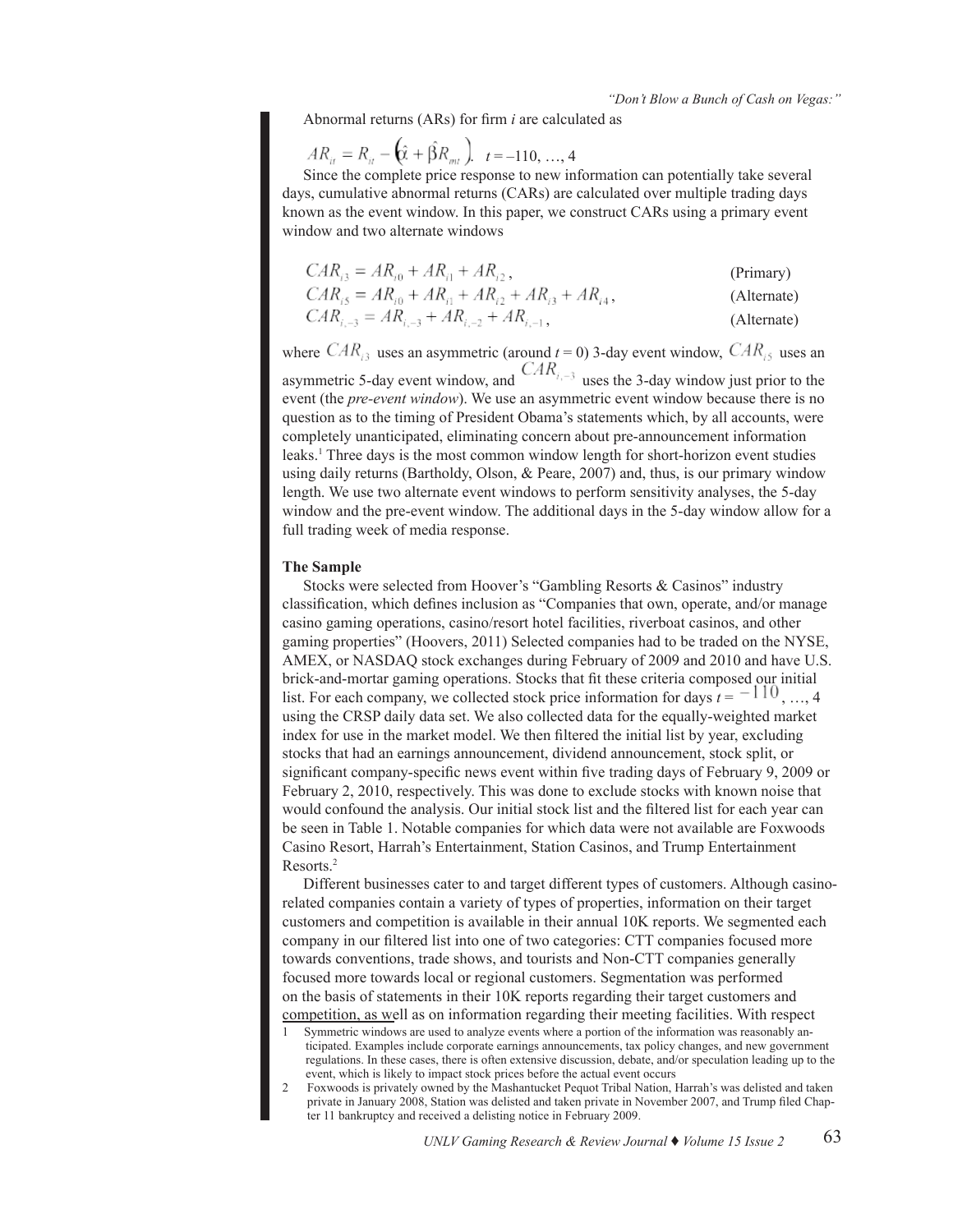Abnormal returns (ARs) for firm *i* are calculated as

$$
AR_{it} = R_{it} - \left(\hat{\mathbf{X}} + \hat{\beta}R_{mt}\right) \quad t = -110, \dots, 4
$$

Since the complete price response to new information can potentially take several days, cumulative abnormal returns (CARs) are calculated over multiple trading days known as the event window. In this paper, we construct CARs using a primary event window and two alternate windows

$$
CAR_{i3} = AR_{i0} + AR_{i1} + AR_{i2},
$$
\n(Primary)

$$
CAR_{i5} = AR_{i0} + AR_{i1} + AR_{i2} + AR_{i3} + AR_{i4},
$$
 (Alternate)

$$
CAR_{i, -3} = AR_{i, -3} + AR_{i, -2} + AR_{i, -1},
$$
\n(Alternate)

where  $CAR_{i3}$  uses an asymmetric (around  $t = 0$ ) 3-day event window,  $CAR_{i5}$  uses an asymmetric 5-day event window, and  $CAR_{i, -3}$  uses the 3-day window just prior to the event (the *pre-event window*). We use an asymmetric event window because there is no question as to the timing of President Obama's statements which, by all accounts, were completely unanticipated, eliminating concern about pre-announcement information leaks.<sup>1</sup> Three days is the most common window length for short-horizon event studies using daily returns (Bartholdy, Olson, & Peare, 2007) and, thus, is our primary window length. We use two alternate event windows to perform sensitivity analyses, the 5-day window and the pre-event window. The additional days in the 5-day window allow for a full trading week of media response.

### **The Sample**

Stocks were selected from Hoover's "Gambling Resorts & Casinos" industry classification, which defines inclusion as "Companies that own, operate, and/or manage casino gaming operations, casino/resort hotel facilities, riverboat casinos, and other gaming properties" (Hoovers, 2011) Selected companies had to be traded on the NYSE, AMEX, or NASDAQ stock exchanges during February of 2009 and 2010 and have U.S. brick-and-mortar gaming operations. Stocks that fit these criteria composed our initial list. For each company, we collected stock price information for days  $t = \pm 10, \ldots, 4$ using the CRSP daily data set. We also collected data for the equally-weighted market index for use in the market model. We then filtered the initial list by year, excluding stocks that had an earnings announcement, dividend announcement, stock split, or significant company-specific news event within five trading days of February 9, 2009 or February 2, 2010, respectively. This was done to exclude stocks with known noise that would confound the analysis. Our initial stock list and the filtered list for each year can be seen in Table 1. Notable companies for which data were not available are Foxwoods Casino Resort, Harrah's Entertainment, Station Casinos, and Trump Entertainment Resorts.2

Different businesses cater to and target different types of customers. Although casinorelated companies contain a variety of types of properties, information on their target customers and competition is available in their annual 10K reports. We segmented each company in our filtered list into one of two categories: CTT companies focused more towards conventions, trade shows, and tourists and Non-CTT companies generally focused more towards local or regional customers. Segmentation was performed on the basis of statements in their 10K reports regarding their target customers and competition, as well as on information regarding their meeting facilities. With respect

- 1 Symmetric windows are used to analyze events where a portion of the information was reasonably anticipated. Examples include corporate earnings announcements, tax policy changes, and new government regulations. In these cases, there is often extensive discussion, debate, and/or speculation leading up to the event, which is likely to impact stock prices before the actual event occurs
- 2 Foxwoods is privately owned by the Mashantucket Pequot Tribal Nation, Harrah's was delisted and taken private in January 2008, Station was delisted and taken private in November 2007, and Trump filed Chapter 11 bankruptcy and received a delisting notice in February 2009.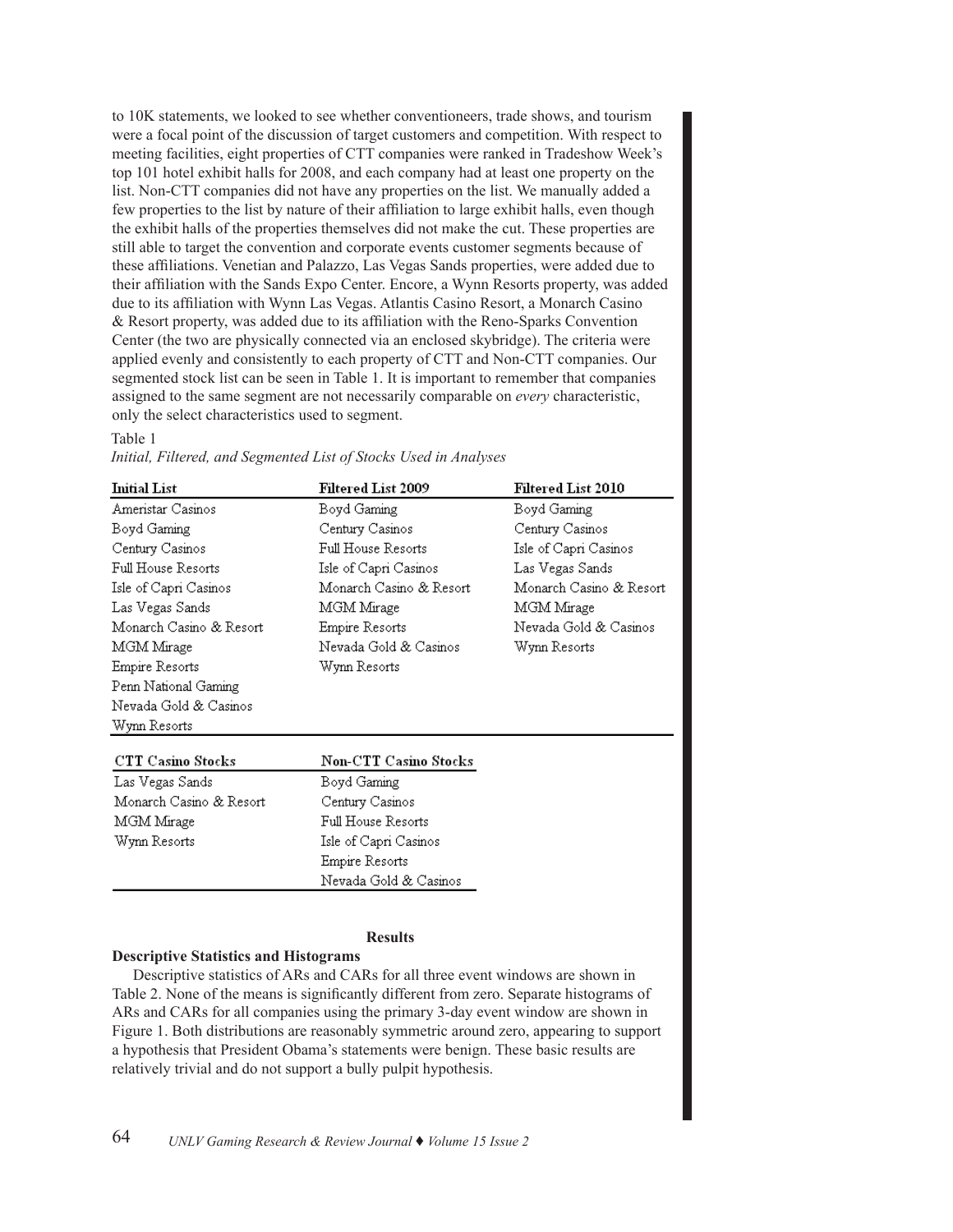to 10K statements, we looked to see whether conventioneers, trade shows, and tourism were a focal point of the discussion of target customers and competition. With respect to meeting facilities, eight properties of CTT companies were ranked in Tradeshow Week's top 101 hotel exhibit halls for 2008, and each company had at least one property on the list. Non-CTT companies did not have any properties on the list. We manually added a few properties to the list by nature of their affiliation to large exhibit halls, even though the exhibit halls of the properties themselves did not make the cut. These properties are still able to target the convention and corporate events customer segments because of these affiliations. Venetian and Palazzo, Las Vegas Sands properties, were added due to their affiliation with the Sands Expo Center. Encore, a Wynn Resorts property, was added due to its affiliation with Wynn Las Vegas. Atlantis Casino Resort, a Monarch Casino & Resort property, was added due to its affiliation with the Reno-Sparks Convention Center (the two are physically connected via an enclosed skybridge). The criteria were applied evenly and consistently to each property of CTT and Non-CTT companies. Our segmented stock list can be seen in Table 1. It is important to remember that companies assigned to the same segment are not necessarily comparable on *every* characteristic, only the select characteristics used to segment.

# Table 1

| <b>Initial List</b>      | Filtered List 2009      | Filtered List 2010      |
|--------------------------|-------------------------|-------------------------|
| Ameristar Casinos        | Boyd Gaming             | Boyd Gaming             |
| Boyd Gaming              | Century Casinos         | Century Casinos         |
| Century Casinos          | Full House Resorts      | Isle of Capri Casinos   |
| Full House Resorts       | Isle of Capri Casinos   | Las Vegas Sands         |
| Isle of Capri Casinos    | Monarch Casino & Resort | Monarch Casino & Resort |
| Las Vegas Sands          | MGM Mirage              | MGM Mirage              |
| Monarch Casino & Resort  | Empire Resorts          | Nevada Gold & Casinos   |
| MGM Mirage               | Nevada Gold & Casinos   | Wynn Resorts            |
| Empire Resorts           | Wynn Resorts            |                         |
| Penn National Gaming     |                         |                         |
| Nevada Gold & Casinos    |                         |                         |
| Wynn Resorts             |                         |                         |
| <b>CTT Casino Stocks</b> | Non-CTT Casino Stocks   |                         |
| Las Vegas Sands          | Boyd Gaming             |                         |
| Monarch Casino & Resort  | Century Casinos         |                         |
| MGM Mirage               | Full House Resorts      |                         |
| Wynn Resorts             | Isle of Capri Casinos   |                         |
|                          | Empire Resorts          |                         |
|                          | Nevada Gold & Casinos   |                         |
|                          |                         |                         |
|                          |                         |                         |
|                          | <b>Results</b>          |                         |

*Initial, Filtered, and Segmented List of Stocks Used in Analyses*

**Descriptive Statistics and Histograms**

Descriptive statistics of ARs and CARs for all three event windows are shown in Table 2. None of the means is significantly different from zero. Separate histograms of ARs and CARs for all companies using the primary 3-day event window are shown in Figure 1. Both distributions are reasonably symmetric around zero, appearing to support a hypothesis that President Obama's statements were benign. These basic results are relatively trivial and do not support a bully pulpit hypothesis.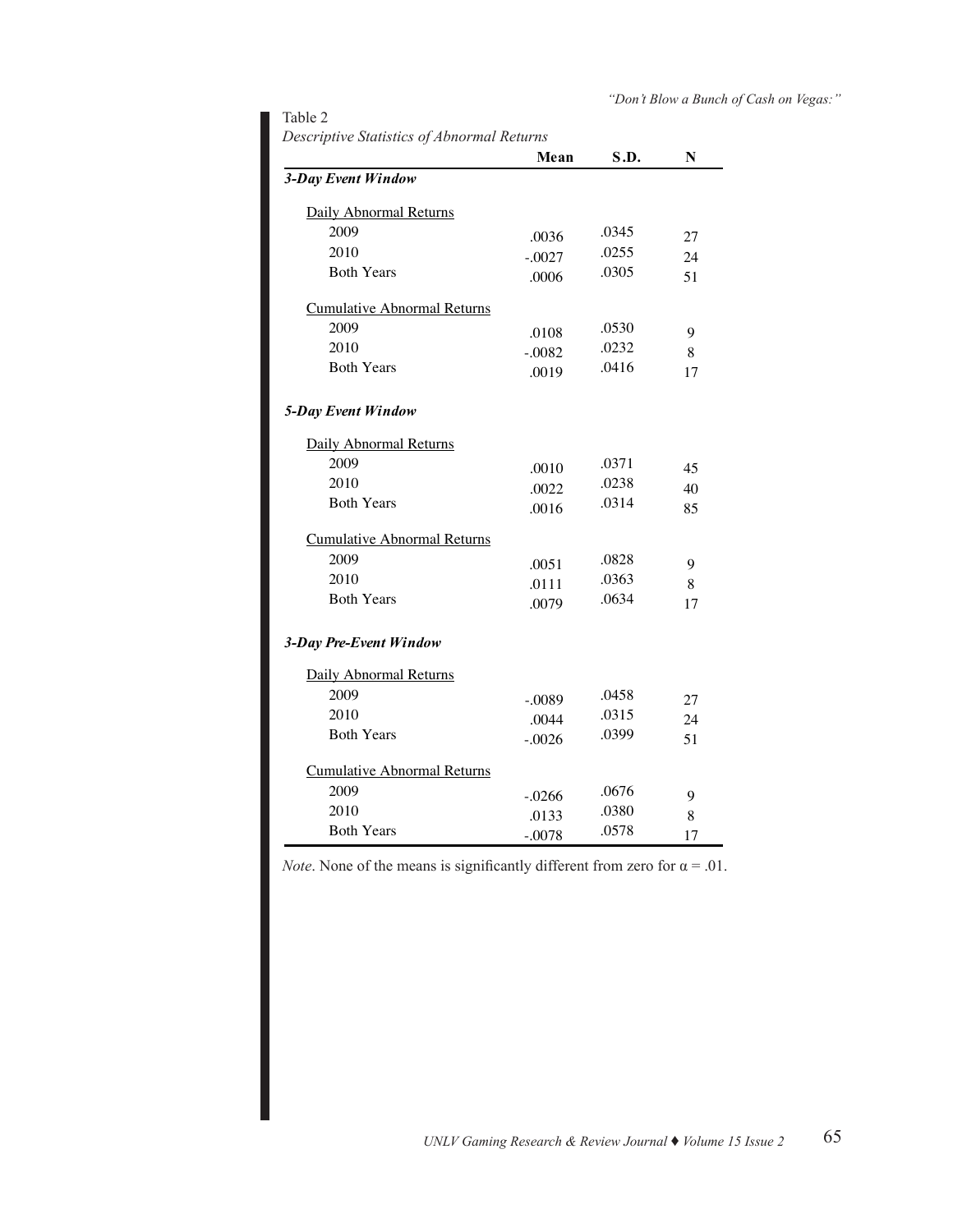# Table 2

*Descriptive Statistics of Abnormal Returns Descriptive Statistics of Abnormal Returns*

|                                    | Mean     | S.D.  | N  |
|------------------------------------|----------|-------|----|
| 3-Day Event Window                 |          |       |    |
| Daily Abnormal Returns             |          |       |    |
| 2009                               | .0036    | .0345 | 27 |
| 2010                               | $-.0027$ | .0255 | 24 |
| <b>Both Years</b>                  | .0006    | .0305 | 51 |
| <b>Cumulative Abnormal Returns</b> |          |       |    |
| 2009                               | .0108    | .0530 | 9  |
| 2010                               | $-.0082$ | .0232 | 8  |
| <b>Both Years</b>                  | .0019    | .0416 | 17 |
| 5-Day Event Window                 |          |       |    |
| Daily Abnormal Returns             |          |       |    |
| 2009                               | .0010    | .0371 | 45 |
| 2010                               | .0022    | .0238 | 40 |
| <b>Both Years</b>                  | .0016    | .0314 | 85 |
| <b>Cumulative Abnormal Returns</b> |          |       |    |
| 2009                               | .0051    | .0828 | 9  |
| 2010                               | .0111    | .0363 | 8  |
| <b>Both Years</b>                  | .0079    | .0634 | 17 |
| 3-Day Pre-Event Window             |          |       |    |
| <b>Daily Abnormal Returns</b>      |          |       |    |
| 2009                               | $-.0089$ | .0458 | 27 |
| 2010                               | .0044    | .0315 | 24 |
| <b>Both Years</b>                  | $-.0026$ | .0399 | 51 |
| <b>Cumulative Abnormal Returns</b> |          |       |    |
| 2009                               | $-.0266$ | .0676 | 9  |
| 2010                               | .0133    | .0380 | 8  |
| <b>Both Years</b>                  | $-.0078$ | .0578 | 17 |

*Note*. None of the means is significantly different from zero for  $\alpha = .01$ .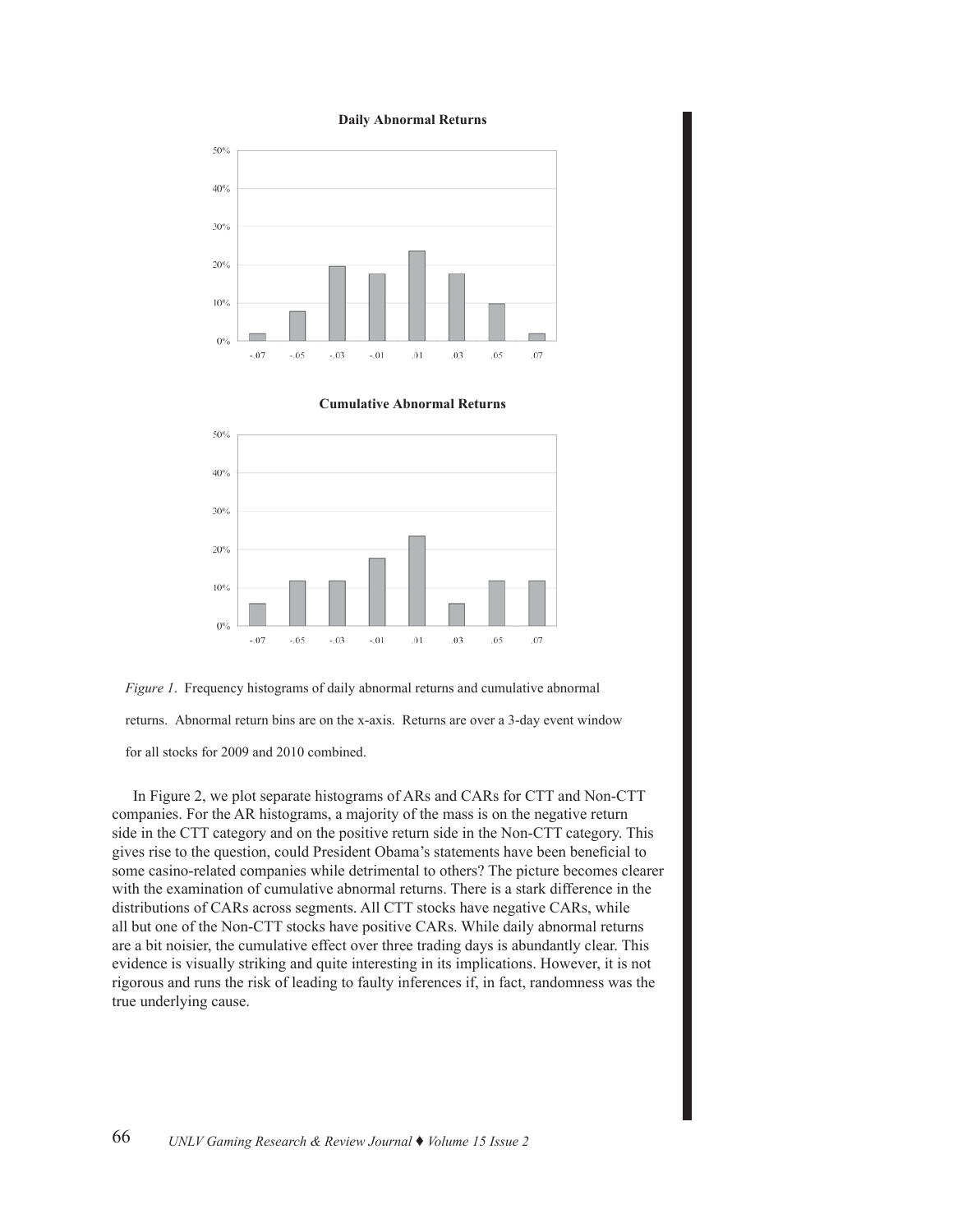### **Daily Abnormal Returns**



**Cumulative Abnormal Returns**





for all stocks for 2009 and 2010 combined.

In Figure 2, we plot separate histograms of ARs and CARs for CTT and Non-CTT companies. For the AR histograms, a majority of the mass is on the negative return side in the CTT category and on the positive return side in the Non-CTT category. This gives rise to the question, could President Obama's statements have been beneficial to some casino-related companies while detrimental to others? The picture becomes clearer with the examination of cumulative abnormal returns. There is a stark difference in the distributions of CARs across segments. All CTT stocks have negative CARs, while all but one of the Non-CTT stocks have positive CARs. While daily abnormal returns are a bit noisier, the cumulative effect over three trading days is abundantly clear. This evidence is visually striking and quite interesting in its implications. However, it is not rigorous and runs the risk of leading to faulty inferences if, in fact, randomness was the true underlying cause.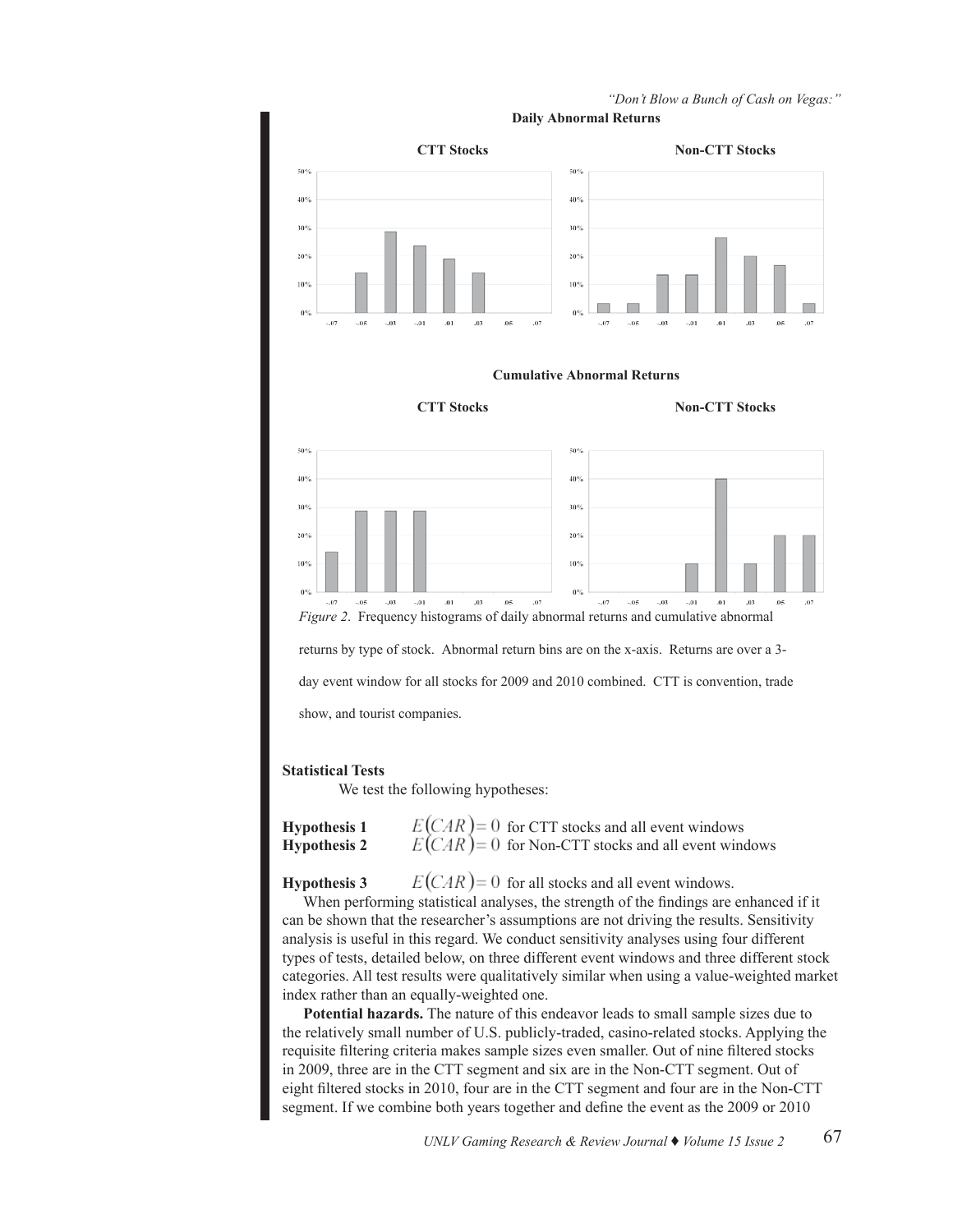

# *"Don't Blow a Bunch of Cash on Vegas:"* **Daily Abnormal Returns**

# **Statistical Tests**

We test the following hypotheses:

| <b>Hypothesis 1</b> | $E(CAR) = 0$ for CTT stocks and all event windows     |
|---------------------|-------------------------------------------------------|
| <b>Hypothesis 2</b> | $E(CAR) = 0$ for Non-CTT stocks and all event windows |

**Hypothesis 3**  $E(CAR) = 0$  for all stocks and all event windows.

When performing statistical analyses, the strength of the findings are enhanced if it can be shown that the researcher's assumptions are not driving the results. Sensitivity analysis is useful in this regard. We conduct sensitivity analyses using four different types of tests, detailed below, on three different event windows and three different stock categories. All test results were qualitatively similar when using a value-weighted market index rather than an equally-weighted one.

**Potential hazards.** The nature of this endeavor leads to small sample sizes due to the relatively small number of U.S. publicly-traded, casino-related stocks. Applying the requisite filtering criteria makes sample sizes even smaller. Out of nine filtered stocks in 2009, three are in the CTT segment and six are in the Non-CTT segment. Out of eight filtered stocks in 2010, four are in the CTT segment and four are in the Non-CTT segment. If we combine both years together and define the event as the 2009 or 2010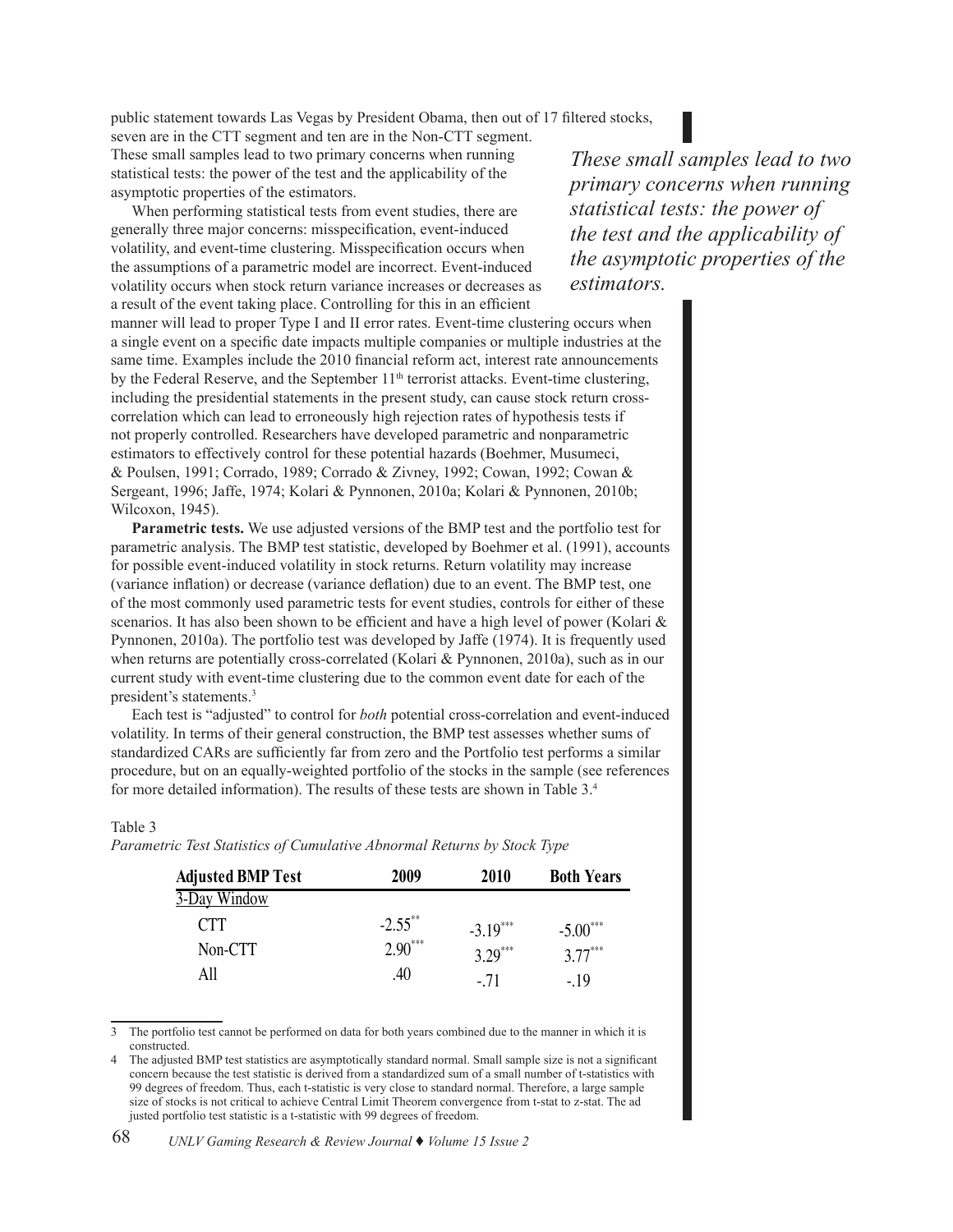public statement towards Las Vegas by President Obama, then out of 17 filtered stocks,

seven are in the CTT segment and ten are in the Non-CTT segment. These small samples lead to two primary concerns when running statistical tests: the power of the test and the applicability of the asymptotic properties of the estimators.

When performing statistical tests from event studies, there are generally three major concerns: misspecification, event-induced volatility, and event-time clustering. Misspecification occurs when the assumptions of a parametric model are incorrect. Event-induced volatility occurs when stock return variance increases or decreases as a result of the event taking place. Controlling for this in an efficient manner will lead to proper Type I and II error rates. Event-time clustering occurs when a single event on a specific date impacts multiple companies or multiple industries at the same time. Examples include the 2010 financial reform act, interest rate announcements by the Federal Reserve, and the September 11<sup>th</sup> terrorist attacks. Event-time clustering, including the presidential statements in the present study, can cause stock return crosscorrelation which can lead to erroneously high rejection rates of hypothesis tests if not properly controlled. Researchers have developed parametric and nonparametric estimators to effectively control for these potential hazards (Boehmer, Musumeci, & Poulsen, 1991; Corrado, 1989; Corrado & Zivney, 1992; Cowan, 1992; Cowan & Sergeant, 1996; Jaffe, 1974; Kolari & Pynnonen, 2010a; Kolari & Pynnonen, 2010b; Wilcoxon, 1945).

**Parametric tests.** We use adjusted versions of the BMP test and the portfolio test for parametric analysis. The BMP test statistic, developed by Boehmer et al. (1991), accounts for possible event-induced volatility in stock returns. Return volatility may increase (variance inflation) or decrease (variance deflation) due to an event. The BMP test, one of the most commonly used parametric tests for event studies, controls for either of these scenarios. It has also been shown to be efficient and have a high level of power (Kolari & Pynnonen, 2010a). The portfolio test was developed by Jaffe (1974). It is frequently used when returns are potentially cross-correlated (Kolari & Pynnonen, 2010a), such as in our current study with event-time clustering due to the common event date for each of the president's statements.<sup>3</sup>

Each test is "adjusted" to control for *both* potential cross-correlation and event-induced volatility. In terms of their general construction, the BMP test assesses whether sums of standardized CARs are sufficiently far from zero and the Portfolio test performs a similar procedure, but on an equally-weighted portfolio of the stocks in the sample (see references for more detailed information). The results of these tests are shown in Table  $3.4$ 

# Table 3

*Parametric Test Statistics of Cumulative Abnormal Returns by Stock Type Parametric Test Statistics of Cumulative Abnormal Returns by Stock Type*

| <b>Adjusted BMP Test</b> | 2009       | 2010       | <b>Both Years</b> |
|--------------------------|------------|------------|-------------------|
| 3-Day Window             |            |            |                   |
| <b>CTT</b>               | $-2.55$ ** | $-3.19***$ | $-5.00***$        |
| Non-CTT                  | $2.90***$  | $3.29***$  | $3.77***$         |
| All                      | .40        | $-.71$     | $-19$             |

 $\overline{3}$  The portfolio test cannot be performed on data for both years combined due to the manner in which it is constructed.

constructed.<br>4 The adjusted BMP test statistics are asymptotically standard normal. Small sample size is not a significant concern because the test statistic is derived from a standardized sum of a small number of t-statistics with concern because the test statistic is derived from a standardized sum of a small number of t-statistics wit<br>99 degrees of freedom. Thus, each t-statistic is very close to standard normal. Therefore, a large sample size of stocks is not critical to achieve Central Limit Theorem convergence from t-stat to z-stat. The ad justed portfolio test statistic is a t-statistic with 99 degrees of freedom.

*These small samples lead to two primary concerns when running statistical tests: the power of the test and the applicability of the asymptotic properties of the estimators.*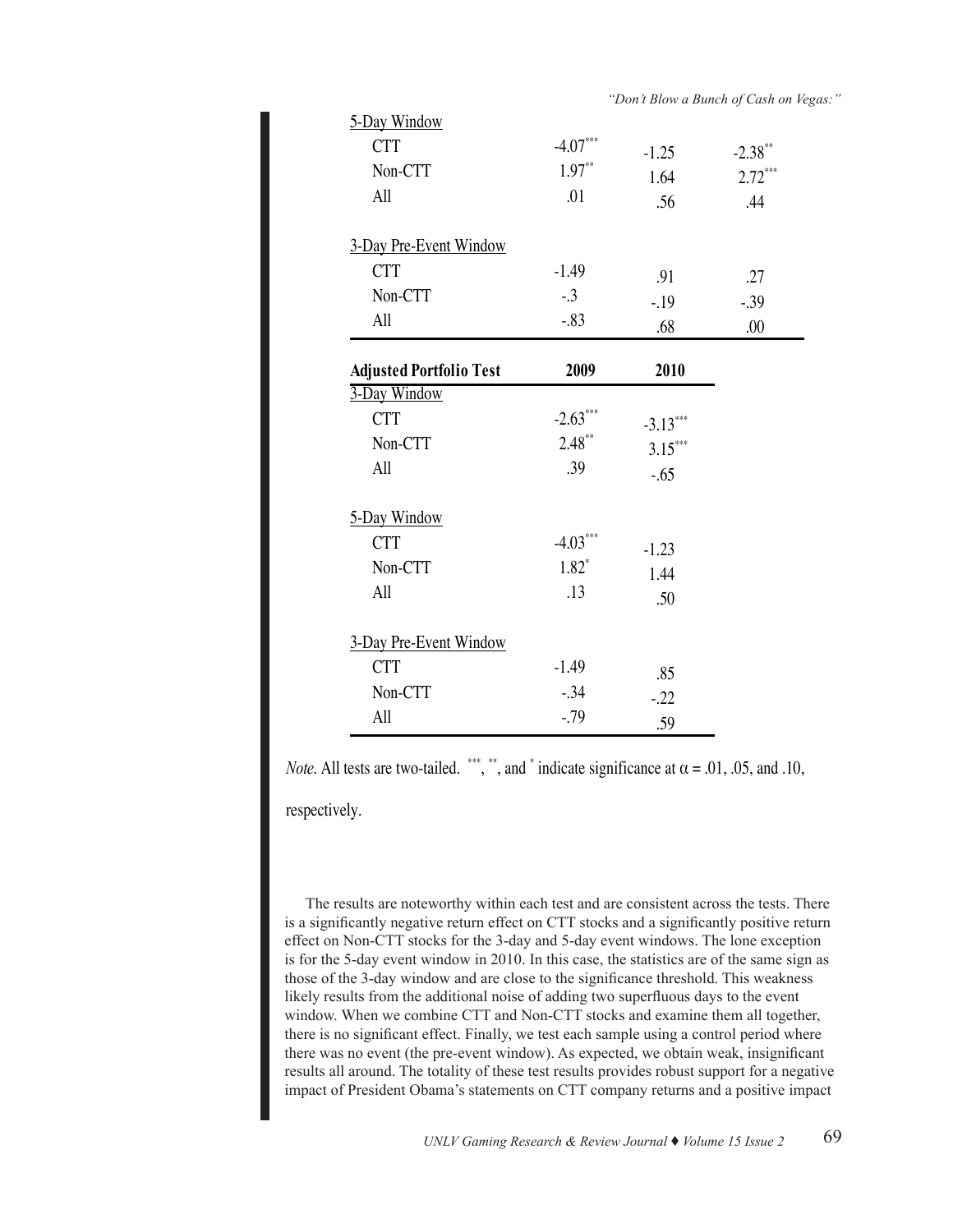| 5-Day Window                   |            |            |           |
|--------------------------------|------------|------------|-----------|
| <b>CTT</b>                     | $-4.07***$ | $-1.25$    | $-2.38**$ |
| Non-CTT                        | $1.97**$   | 1.64       | $2.72***$ |
| All                            | .01        | .56        | .44       |
| 3-Day Pre-Event Window         |            |            |           |
| <b>CTT</b>                     | $-1.49$    | .91        | .27       |
| Non-CTT                        | $-.3$      | $-.19$     | $-0.39$   |
| All                            | $-.83$     | .68        | .00       |
| <b>Adjusted Portfolio Test</b> | 2009       | 2010       |           |
| 3-Day Window                   |            |            |           |
| <b>CTT</b>                     | $-2.63***$ | $-3.13***$ |           |
| Non-CTT                        | $2.48**$   | $3.15***$  |           |
| All                            | .39        | $-.65$     |           |
| 5-Day Window                   |            |            |           |
| <b>CTT</b>                     | $-4.03***$ | $-1.23$    |           |
| Non-CTT                        | $1.82*$    | 1.44       |           |
| All                            | .13        | .50        |           |
| 3-Day Pre-Event Window         |            |            |           |
| <b>CTT</b>                     | $-1.49$    | .85        |           |
| Non-CTT                        | $-.34$     | $-.22$     |           |
| All                            | $-0.79$    | .59        |           |
|                                |            |            |           |

*Note*. All tests are two-tailed. \*\*\*, \*\*, and \* indicate significance at  $\alpha = .01, .05,$  and .10,

respectively.

The results are noteworthy within each test and are consistent across the tests. There is a significantly negative return effect on CTT stocks and a significantly positive return effect on Non-CTT stocks for the 3-day and 5-day event windows. The lone exception is for the 5-day event window in 2010. In this case, the statistics are of the same sign as those of the 3-day window and are close to the significance threshold. This weakness likely results from the additional noise of adding two superfluous days to the event window. When we combine CTT and Non-CTT stocks and examine them all together, there is no significant effect. Finally, we test each sample using a control period where there was no event (the pre-event window). As expected, we obtain weak, insignificant results all around. The totality of these test results provides robust support for a negative impact of President Obama's statements on CTT company returns and a positive impact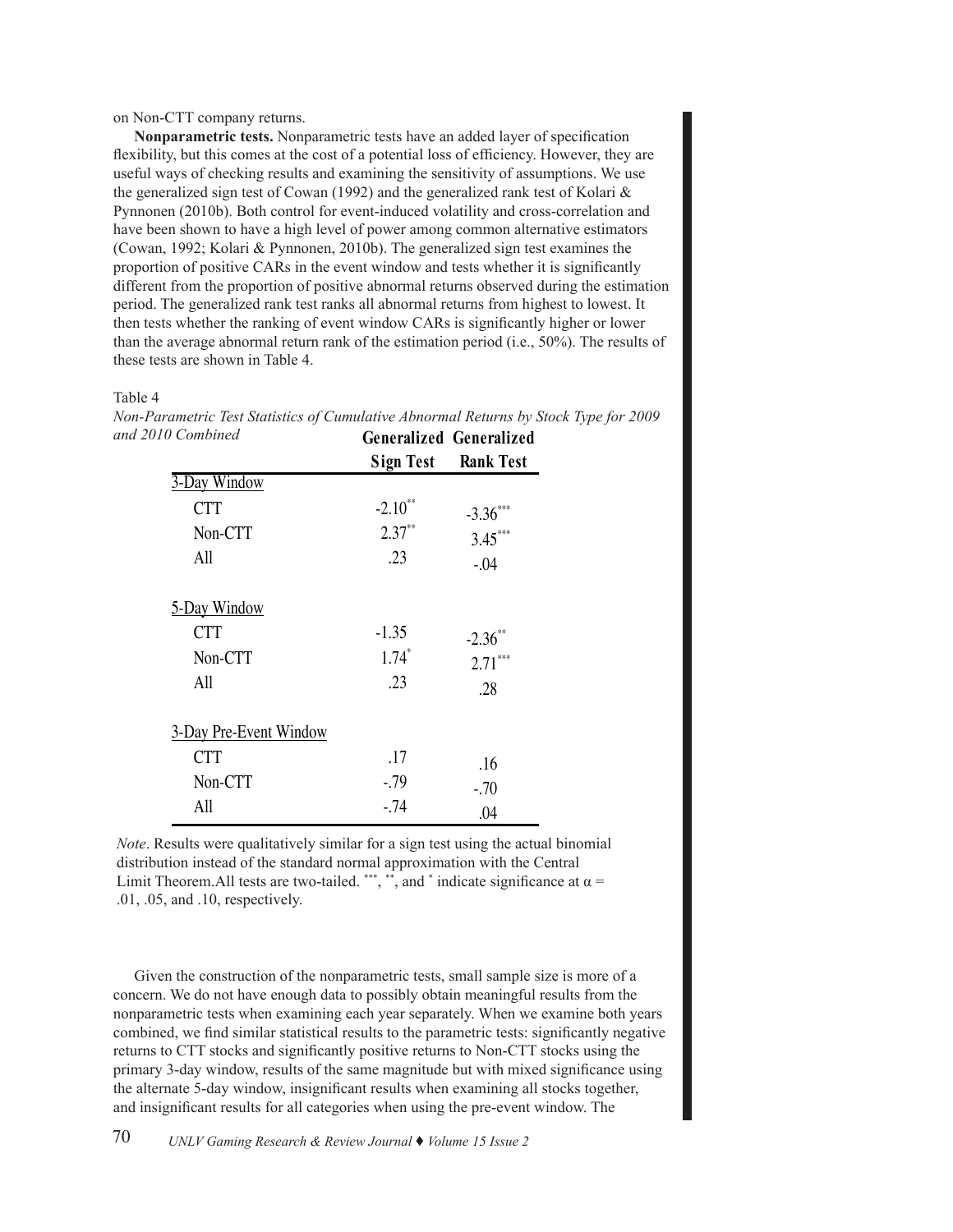# on Non-CTT company returns.

**Nonparametric tests.** Nonparametric tests have an added layer of specification flexibility, but this comes at the cost of a potential loss of efficiency. However, they are useful ways of checking results and examining the sensitivity of assumptions. We use the generalized sign test of Cowan (1992) and the generalized rank test of Kolari  $\&$ Pynnonen (2010b). Both control for event-induced volatility and cross-correlation and have been shown to have a high level of power among common alternative estimators (Cowan, 1992; Kolari & Pynnonen, 2010b). The generalized sign test examines the proportion of positive CARs in the event window and tests whether it is significantly proportion of positive CARs in the event window and tests whether it is significantly different from the proportion of positive abnormal returns observed during the estimation period. The generalized rank test ranks all abnormal returns from highest to lowest. It then tests whether the ranking of event window CARs is significantly higher or lower than the average abnormal return rank of the estimation period (i.e., 50%). The results of these tests are shown in Table 4.

## Table 4

| Generalized Generalized |                            |
|-------------------------|----------------------------|
|                         | <b>Sign Test Rank Test</b> |
|                         |                            |
| $-2.10**$               | $-3.36***$                 |
| $2.37**$                | $3.45***$                  |
| .23                     | $-.04$                     |
|                         |                            |
| $-1.35$                 | $-2.36$                    |
| $1.74*$                 | $2.71***$                  |
| .23                     | .28                        |
|                         |                            |
| .17                     | .16                        |
| $-.79$                  | $-.70$                     |
| $-.74$                  | .04                        |
|                         |                            |

*Non-Parametric Test Statistics of Cumulative Abnormal Returns by Stock Type for 2009 and 2010 Combined*

*Note*. Results were qualitatively similar for a sign test using the actual binomial distribution instead of the standard normal approximation with the Central Limit Theorem. All tests are two-tailed. \*\*\*, \*\*, and \* indicate significance at  $\alpha$  =  $.01, .05,$  and  $.10$ , respectively.

Given the construction of the nonparametric tests, small sample size is more of a concern. We do not have enough data to possibly obtain meaningful results from the nonparametric tests when examining each year separately. When we examine both years combined, we find similar statistical results to the parametric tests: significantly negative returns to CTT stocks and significantly positive returns to Non-CTT stocks using the primary 3-day window, results of the same magnitude but with mixed significance using the alternate 5-day window, insignificant results when examining all stocks together, and insignificant results for all categories when using the pre-event window. The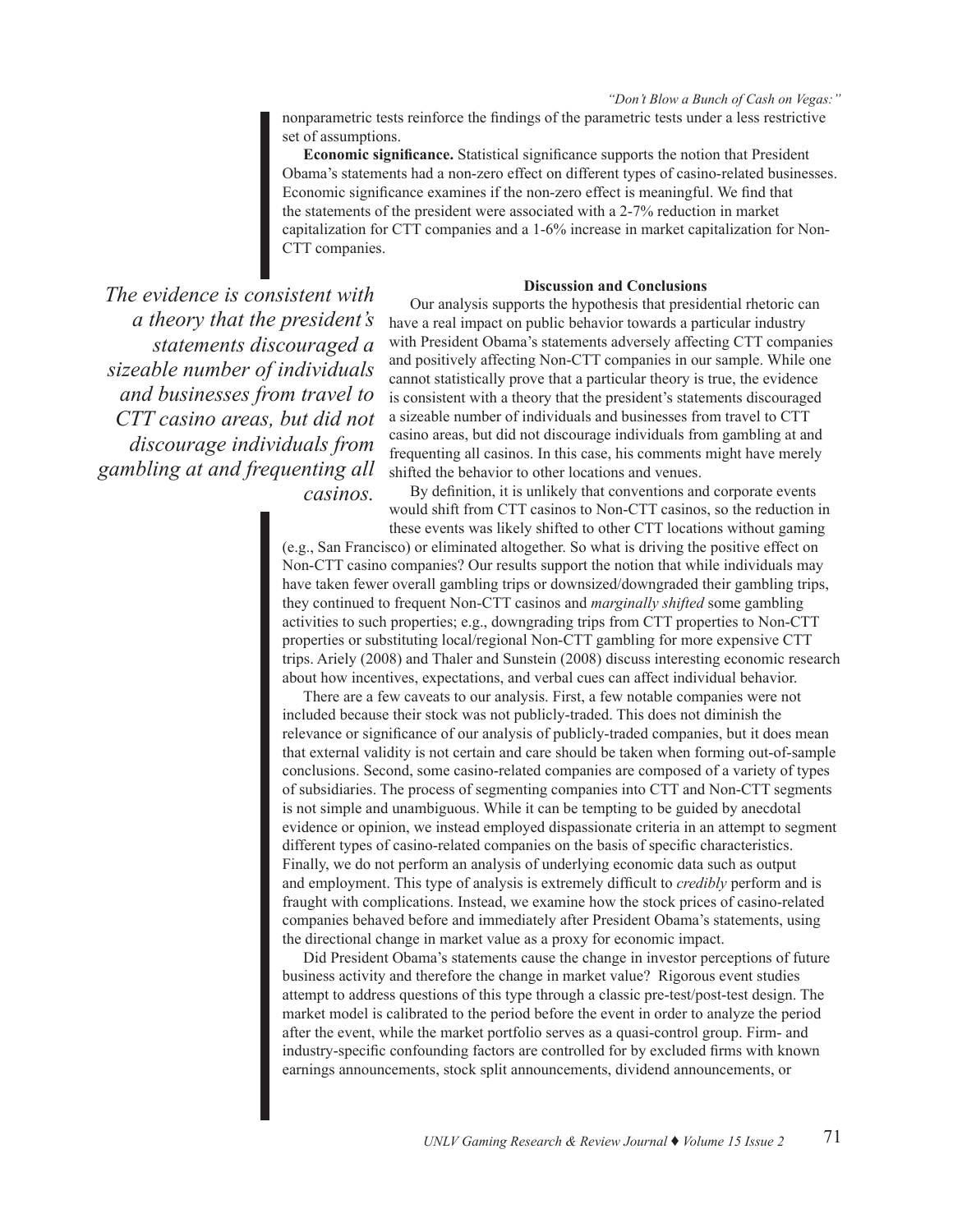nonparametric tests reinforce the findings of the parametric tests under a less restrictive set of assumptions.

**Economic significance.** Statistical significance supports the notion that President Obama's statements had a non-zero effect on different types of casino-related businesses. Economic significance examines if the non-zero effect is meaningful. We find that the statements of the president were associated with a 2-7% reduction in market capitalization for CTT companies and a 1-6% increase in market capitalization for Non-CTT companies.

# **Discussion and Conclusions**

*The evidence is consistent with a theory that the president's statements discouraged a sizeable number of individuals and businesses from travel to CTT casino areas, but did not discourage individuals from gambling at and frequenting all casinos.* 

Our analysis supports the hypothesis that presidential rhetoric can have a real impact on public behavior towards a particular industry with President Obama's statements adversely affecting CTT companies and positively affecting Non-CTT companies in our sample. While one cannot statistically prove that a particular theory is true, the evidence is consistent with a theory that the president's statements discouraged a sizeable number of individuals and businesses from travel to CTT casino areas, but did not discourage individuals from gambling at and frequenting all casinos. In this case, his comments might have merely shifted the behavior to other locations and venues.

By definition, it is unlikely that conventions and corporate events would shift from CTT casinos to Non-CTT casinos, so the reduction in these events was likely shifted to other CTT locations without gaming

(e.g., San Francisco) or eliminated altogether. So what is driving the positive effect on Non-CTT casino companies? Our results support the notion that while individuals may have taken fewer overall gambling trips or downsized/downgraded their gambling trips, they continued to frequent Non-CTT casinos and *marginally shifted* some gambling activities to such properties; e.g., downgrading trips from CTT properties to Non-CTT properties or substituting local/regional Non-CTT gambling for more expensive CTT trips. Ariely (2008) and Thaler and Sunstein (2008) discuss interesting economic research about how incentives, expectations, and verbal cues can affect individual behavior.

There are a few caveats to our analysis. First, a few notable companies were not included because their stock was not publicly-traded. This does not diminish the relevance or significance of our analysis of publicly-traded companies, but it does mean that external validity is not certain and care should be taken when forming out-of-sample conclusions. Second, some casino-related companies are composed of a variety of types of subsidiaries. The process of segmenting companies into CTT and Non-CTT segments is not simple and unambiguous. While it can be tempting to be guided by anecdotal evidence or opinion, we instead employed dispassionate criteria in an attempt to segment different types of casino-related companies on the basis of specific characteristics. Finally, we do not perform an analysis of underlying economic data such as output and employment. This type of analysis is extremely difficult to *credibly* perform and is fraught with complications. Instead, we examine how the stock prices of casino-related companies behaved before and immediately after President Obama's statements, using the directional change in market value as a proxy for economic impact.

Did President Obama's statements cause the change in investor perceptions of future business activity and therefore the change in market value? Rigorous event studies attempt to address questions of this type through a classic pre-test/post-test design. The market model is calibrated to the period before the event in order to analyze the period after the event, while the market portfolio serves as a quasi-control group. Firm- and industry-specific confounding factors are controlled for by excluded firms with known earnings announcements, stock split announcements, dividend announcements, or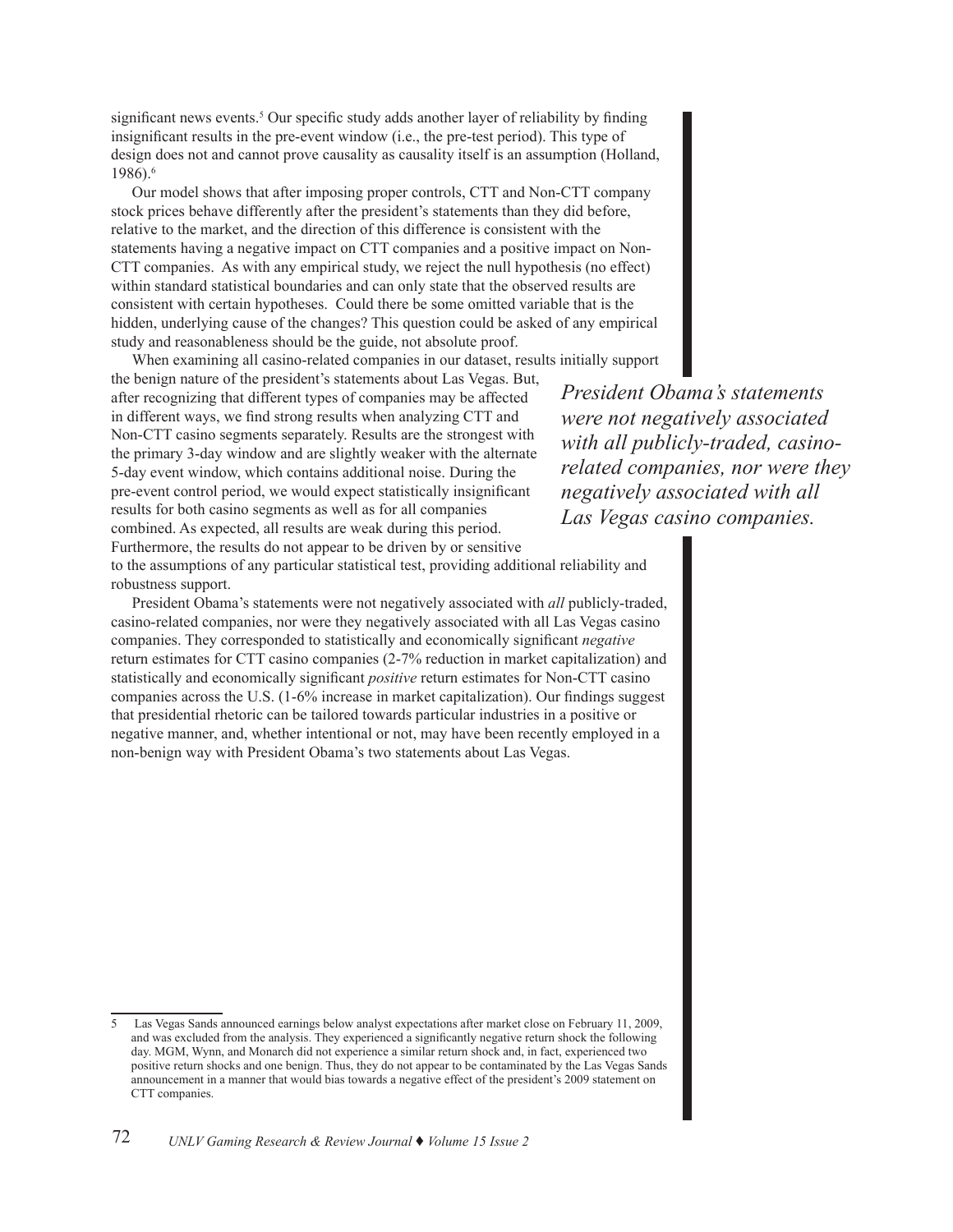significant news events.<sup>5</sup> Our specific study adds another layer of reliability by finding insignificant results in the pre-event window (i.e., the pre-test period). This type of design does not and cannot prove causality as causality itself is an assumption (Holland, 1986).6

Our model shows that after imposing proper controls, CTT and Non-CTT company stock prices behave differently after the president's statements than they did before, relative to the market, and the direction of this difference is consistent with the statements having a negative impact on CTT companies and a positive impact on Non-CTT companies. As with any empirical study, we reject the null hypothesis (no effect) within standard statistical boundaries and can only state that the observed results are consistent with certain hypotheses. Could there be some omitted variable that is the hidden, underlying cause of the changes? This question could be asked of any empirical study and reasonableness should be the guide, not absolute proof.

When examining all casino-related companies in our dataset, results initially support

the benign nature of the president's statements about Las Vegas. But, after recognizing that different types of companies may be affected in different ways, we find strong results when analyzing CTT and Non-CTT casino segments separately. Results are the strongest with the primary 3-day window and are slightly weaker with the alternate 5-day event window, which contains additional noise. During the pre-event control period, we would expect statistically insignificant results for both casino segments as well as for all companies combined. As expected, all results are weak during this period. Furthermore, the results do not appear to be driven by or sensitive

*President Obama's statements were not negatively associated with all publicly-traded, casinorelated companies, nor were they negatively associated with all Las Vegas casino companies.* 

to the assumptions of any particular statistical test, providing additional reliability and robustness support.

President Obama's statements were not negatively associated with *all* publicly-traded, casino-related companies, nor were they negatively associated with all Las Vegas casino companies. They corresponded to statistically and economically significant *negative* return estimates for CTT casino companies (2-7% reduction in market capitalization) and statistically and economically significant *positive* return estimates for Non-CTT casino companies across the U.S. (1-6% increase in market capitalization). Our findings suggest that presidential rhetoric can be tailored towards particular industries in a positive or negative manner, and, whether intentional or not, may have been recently employed in a non-benign way with President Obama's two statements about Las Vegas.

<sup>5</sup> Las Vegas Sands announced earnings below analyst expectations after market close on February 11, 2009, and was excluded from the analysis. They experienced a significantly negative return shock the following day. MGM, Wynn, and Monarch did not experience a similar return shock and, in fact, experienced two positive return shocks and one benign. Thus, they do not appear to be contaminated by the Las Vegas Sands announcement in a manner that would bias towards a negative effect of the president's 2009 statement on CTT companies.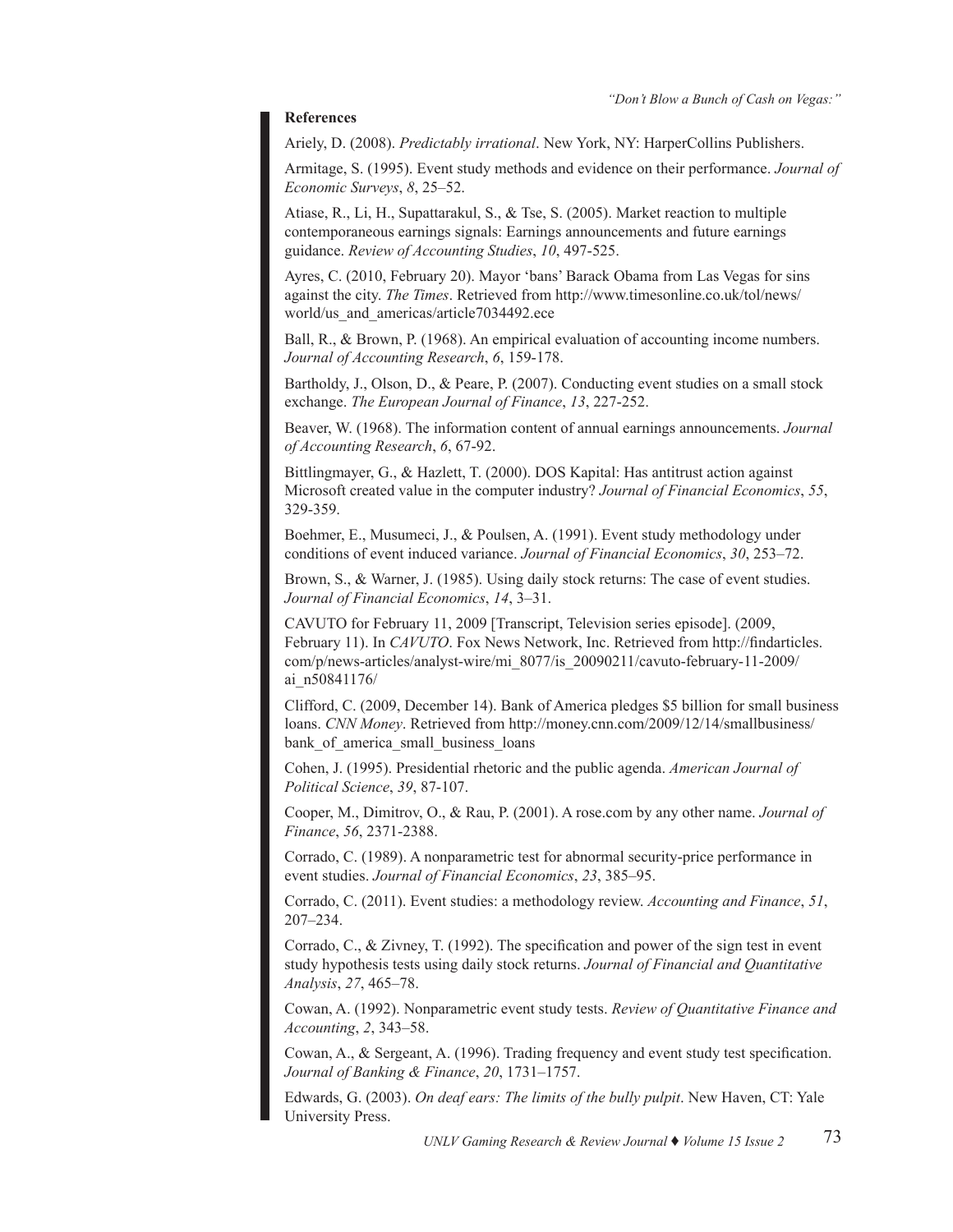# **References**

Ariely, D. (2008). *Predictably irrational*. New York, NY: HarperCollins Publishers.

Armitage, S. (1995). Event study methods and evidence on their performance. *Journal of Economic Surveys*, *8*, 25–52.

Atiase, R., Li, H., Supattarakul, S., & Tse, S. (2005). Market reaction to multiple contemporaneous earnings signals: Earnings announcements and future earnings guidance. *Review of Accounting Studies*, *10*, 497-525.

Ayres, C. (2010, February 20). Mayor 'bans' Barack Obama from Las Vegas for sins against the city. *The Times*. Retrieved from http://www.timesonline.co.uk/tol/news/ world/us and americas/article7034492.ece

Ball, R., & Brown, P. (1968). An empirical evaluation of accounting income numbers. *Journal of Accounting Research*, *6*, 159-178.

Bartholdy, J., Olson, D., & Peare, P. (2007). Conducting event studies on a small stock exchange. *The European Journal of Finance*, *13*, 227-252.

Beaver, W. (1968). The information content of annual earnings announcements. *Journal of Accounting Research*, *6*, 67-92.

Bittlingmayer, G., & Hazlett, T. (2000). DOS Kapital: Has antitrust action against Microsoft created value in the computer industry? *Journal of Financial Economics*, *55*, 329-359.

Boehmer, E., Musumeci, J., & Poulsen, A. (1991). Event study methodology under conditions of event induced variance. *Journal of Financial Economics*, *30*, 253–72.

Brown, S., & Warner, J. (1985). Using daily stock returns: The case of event studies. *Journal of Financial Economics*, *14*, 3–31.

CAVUTO for February 11, 2009 [Transcript, Television series episode]. (2009, February 11). In *CAVUTO*. Fox News Network, Inc. Retrieved from http://findarticles. com/p/news-articles/analyst-wire/mi\_8077/is\_20090211/cavuto-february-11-2009/ ai\_n50841176/

Clifford, C. (2009, December 14). Bank of America pledges \$5 billion for small business loans. *CNN Money*. Retrieved from http://money.cnn.com/2009/12/14/smallbusiness/ bank of america small business loans

Cohen, J. (1995). Presidential rhetoric and the public agenda. *American Journal of Political Science*, *39*, 87-107.

Cooper, M., Dimitrov, O., & Rau, P. (2001). A rose.com by any other name. *Journal of Finance*, *56*, 2371-2388.

Corrado, C. (1989). A nonparametric test for abnormal security-price performance in event studies. *Journal of Financial Economics*, *23*, 385–95.

Corrado, C. (2011). Event studies: a methodology review. *Accounting and Finance*, *51*, 207–234.

Corrado, C., & Zivney, T. (1992). The specification and power of the sign test in event study hypothesis tests using daily stock returns. *Journal of Financial and Quantitative Analysis*, *27*, 465–78.

Cowan, A. (1992). Nonparametric event study tests. *Review of Quantitative Finance and Accounting*, *2*, 343–58.

Cowan, A., & Sergeant, A. (1996). Trading frequency and event study test specification. *Journal of Banking & Finance*, *20*, 1731–1757.

Edwards, G. (2003). *On deaf ears: The limits of the bully pulpit*. New Haven, CT: Yale University Press.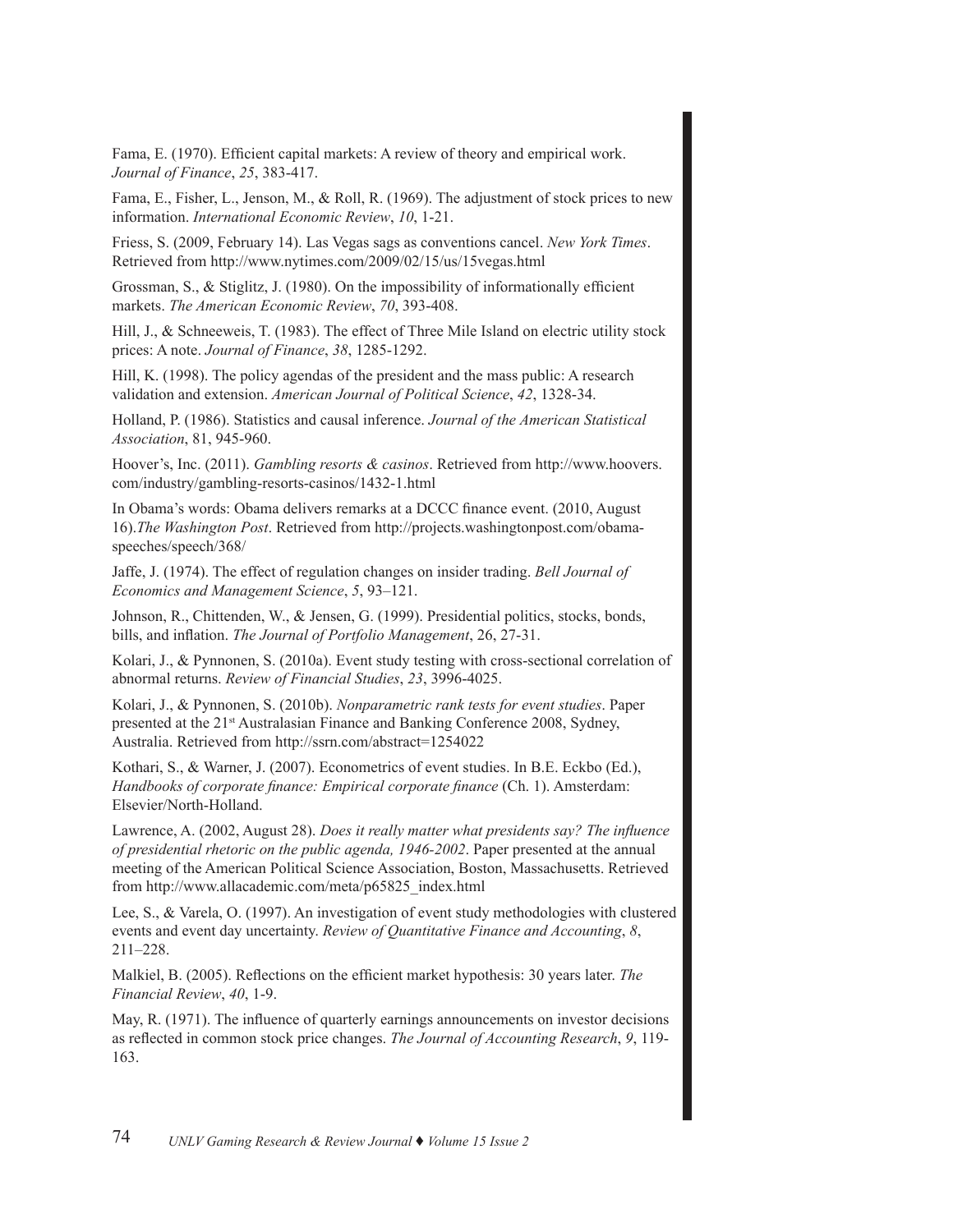Fama, E. (1970). Efficient capital markets: A review of theory and empirical work. *Journal of Finance*, *25*, 383-417.

Fama, E., Fisher, L., Jenson, M., & Roll, R. (1969). The adjustment of stock prices to new information. *International Economic Review*, *10*, 1-21.

Friess, S. (2009, February 14). Las Vegas sags as conventions cancel. *New York Times*. Retrieved from http://www.nytimes.com/2009/02/15/us/15vegas.html

Grossman, S., & Stiglitz, J. (1980). On the impossibility of informationally efficient markets. *The American Economic Review*, *70*, 393-408.

Hill, J., & Schneeweis, T. (1983). The effect of Three Mile Island on electric utility stock prices: A note. *Journal of Finance*, *38*, 1285-1292.

Hill, K. (1998). The policy agendas of the president and the mass public: A research validation and extension. *American Journal of Political Science*, *42*, 1328-34.

Holland, P. (1986). Statistics and causal inference. *Journal of the American Statistical Association*, 81, 945-960.

Hoover's, Inc. (2011). *Gambling resorts & casinos*. Retrieved from http://www.hoovers. com/industry/gambling-resorts-casinos/1432-1.html

In Obama's words: Obama delivers remarks at a DCCC finance event. (2010, August 16).*The Washington Post*. Retrieved from http://projects.washingtonpost.com/obamaspeeches/speech/368/

Jaffe, J. (1974). The effect of regulation changes on insider trading. *Bell Journal of Economics and Management Science*, *5*, 93–121.

Johnson, R., Chittenden, W., & Jensen, G. (1999). Presidential politics, stocks, bonds, bills, and inflation. *The Journal of Portfolio Management*, 26, 27-31.

Kolari, J., & Pynnonen, S. (2010a). Event study testing with cross-sectional correlation of abnormal returns. *Review of Financial Studies*, *23*, 3996-4025.

Kolari, J., & Pynnonen, S. (2010b). *Nonparametric rank tests for event studies*. Paper presented at the 21st Australasian Finance and Banking Conference 2008, Sydney, Australia. Retrieved from http://ssrn.com/abstract=1254022

Kothari, S., & Warner, J. (2007). Econometrics of event studies. In B.E. Eckbo (Ed.), *Handbooks of corporate finance: Empirical corporate finance* (Ch. 1). Amsterdam: Elsevier/North-Holland.

Lawrence, A. (2002, August 28). *Does it really matter what presidents say? The influence of presidential rhetoric on the public agenda, 1946-2002*. Paper presented at the annual meeting of the American Political Science Association, Boston, Massachusetts. Retrieved from http://www.allacademic.com/meta/p65825\_index.html

Lee, S., & Varela, O. (1997). An investigation of event study methodologies with clustered events and event day uncertainty. *Review of Quantitative Finance and Accounting*, *8*, 211–228.

Malkiel, B. (2005). Reflections on the efficient market hypothesis: 30 years later. *The Financial Review*, *40*, 1-9.

May, R. (1971). The influence of quarterly earnings announcements on investor decisions as reflected in common stock price changes. *The Journal of Accounting Research*, *9*, 119- 163.